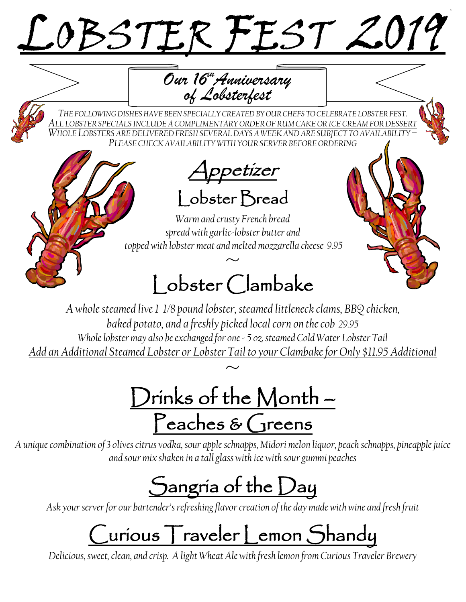# LOBSTER FEST 2019

*Our 16thAnniversary of Lobsterfest*

*THE FOLLOWING DISHESHAVE BEEN SPECIALLY CREATEDBY OUR CHEFS TO CELEBRATE LOBSTER FEST. ALL LOBSTER SPECIALS INCLUDE A COMPLIMENTARY ORDER OF RUM CAKE OR ICE CREAM FOR DESSERT WHOLE LOBSTERS ARE DELIVERED FRESH SEVERAL DAYS A WEEK AND ARE SUBJECT TO AVAILABILITY – PLEASE CHECK AVAILABILITY WITH YOUR SERVER BEFORE ORDERING*

Appetizer Lobster Bread

*Warm and crusty French bread spread with garlic-lobster butter and topped with lobster meat and melted mozzarella cheese 9.95*

## $~\sim~$ l obster Clambake

*A whole steamed live 1 1/8 pound lobster, steamed littleneck clams, BBQ chicken, baked potato, and a freshly picked local corn on the cob 29.95 Whole lobster may also be exchanged for one - 5 oz. steamed Cold Water Lobster Tail Add an Additional Steamed Lobster or Lobster Tail to your Clambake for Only \$11.95 Additional*  $\frac{1}{\sim}$ 

Drinks of the Month – Peaches & Greens

*A unique combination of 3 olives citrus vodka, sour apple schnapps, Midori melon liquor, peach schnapps, pineapple juice and sour mix shaken in a tall glass with ice with sour gummi peaches* 

## Sangria of the Day

*Ask your server for our bartender's refreshing flavor creation of the day made with wine and fresh fruit*

# Curious Traveler Lemon Shandy

*Delicious, sweet, clean, and crisp. A light Wheat Ale with fresh lemon from Curious Traveler Brewery*